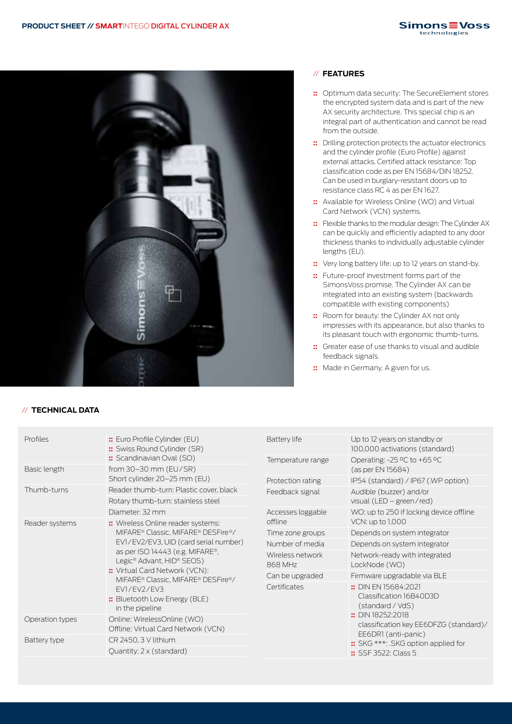

#### // **TECHNICAL DATA**

### // **FEATURES**

- **::** Optimum data security: The SecureElement stores the encrypted system data and is part of the new AX security architecture. This special chip is an integral part of authentication and cannot be read from the outside.
- **::** Drilling protection protects the actuator electronics and the cylinder profile (Euro Profile) against external attacks. Certified attack resistance: Top classification code as per EN 15684/DIN 18252. Can be used in burglary-resistant doors up to resistance class RC 4 as per EN 1627.
- **::** Available for Wireless Online (WO) and Virtual Card Network (VCN) systems.
- **::** Flexible thanks to the modular design: The Cylinder AX can be quickly and efficiently adapted to any door thickness thanks to individually adjustable cylinder lengths (EU).
- **::** Very long battery life: up to 12 years on stand-by.
- **::** Future-proof investment forms part of the SimonsVoss promise. The Cylinder AX can be integrated into an existing system (backwards compatible with existing components)
- **::** Room for beauty: the Cylinder AX not only impresses with its appearance, but also thanks to its pleasant touch with ergonomic thumb-turns.
- **::** Greater ease of use thanks to visual and audible feedback signals.
- **::** Made in Germany. A given for us.

| Profiles                            | :: Euro Profile Cylinder (EU)<br>:: Swiss Round Cylinder (SR)<br>:: Scandinavian Oval (SO)                                                                                                                                                                                                                             | Battery life                 | Up to 12 years on standby or<br>100,000 activations (standard)                                                                                                                                                                       |
|-------------------------------------|------------------------------------------------------------------------------------------------------------------------------------------------------------------------------------------------------------------------------------------------------------------------------------------------------------------------|------------------------------|--------------------------------------------------------------------------------------------------------------------------------------------------------------------------------------------------------------------------------------|
|                                     |                                                                                                                                                                                                                                                                                                                        | Temperature range            | Operating: -25 °C to +65 °C<br>(as per EN 15684)                                                                                                                                                                                     |
| Basic length                        | from $30-30$ mm (EU/SR)<br>Short cylinder 20-25 mm (EU)                                                                                                                                                                                                                                                                |                              |                                                                                                                                                                                                                                      |
|                                     |                                                                                                                                                                                                                                                                                                                        | Protection rating            | IP54 (standard) / IP67 (.WP option)                                                                                                                                                                                                  |
| Thumb-turns                         | Reader thumb-turn: Plastic cover, black                                                                                                                                                                                                                                                                                | Feedback signal              | Audible (buzzer) and/or<br>visual (LED – green/red)                                                                                                                                                                                  |
|                                     | Rotary thumb-turn: stainless steel                                                                                                                                                                                                                                                                                     |                              |                                                                                                                                                                                                                                      |
|                                     | Diameter: 32 mm                                                                                                                                                                                                                                                                                                        | Accesses loggable<br>offline | WO: up to 250 if locking device offline<br>VCN: up to 1,000                                                                                                                                                                          |
| Reader systems                      | :: Wireless Online reader systems:<br>MIFARE® Classic, MIFARE® DESFire®/<br>EV1/EV2/EV3, UID (card serial number)<br>as per ISO 14443 (e.g. MIFARE <sup>®</sup> ,<br>Legic® Advant, HID® SEOS)<br>:: Virtual Card Network (VCN):<br>MIFARE® Classic, MIFARE® DESFire®/<br>FV1/FV2/FV3<br>:: Bluetooth Low Energy (BLE) |                              |                                                                                                                                                                                                                                      |
|                                     |                                                                                                                                                                                                                                                                                                                        | Time zone groups             | Depends on system integrator                                                                                                                                                                                                         |
|                                     |                                                                                                                                                                                                                                                                                                                        | Number of media              | Depends on system integrator                                                                                                                                                                                                         |
|                                     |                                                                                                                                                                                                                                                                                                                        | Wireless network             | Network-ready with integrated                                                                                                                                                                                                        |
|                                     |                                                                                                                                                                                                                                                                                                                        | 868 MHz                      | LockNode (WO)                                                                                                                                                                                                                        |
|                                     |                                                                                                                                                                                                                                                                                                                        | Can be upgraded              | Firmware upgradable via BLE                                                                                                                                                                                                          |
|                                     |                                                                                                                                                                                                                                                                                                                        | Certificates                 | :: DIN EN 15684:2021<br>Classification 16B40D3D<br>(standard / VdS)<br>$\therefore$ DIN 18252:2018<br>classification key EE6DFZG (standard)/<br>EE6DR1 (anti-panic)<br>:: SKG ***: .SKG option applied for<br>$::$ SSF 3522: Class 5 |
|                                     |                                                                                                                                                                                                                                                                                                                        |                              |                                                                                                                                                                                                                                      |
|                                     | Operation types                                                                                                                                                                                                                                                                                                        |                              |                                                                                                                                                                                                                                      |
| Offline: Virtual Card Network (VCN) |                                                                                                                                                                                                                                                                                                                        |                              |                                                                                                                                                                                                                                      |
| Battery type                        | CR 2450, 3 V lithium                                                                                                                                                                                                                                                                                                   |                              |                                                                                                                                                                                                                                      |
|                                     | Quantity: 2 x (standard)                                                                                                                                                                                                                                                                                               |                              |                                                                                                                                                                                                                                      |
|                                     |                                                                                                                                                                                                                                                                                                                        |                              |                                                                                                                                                                                                                                      |